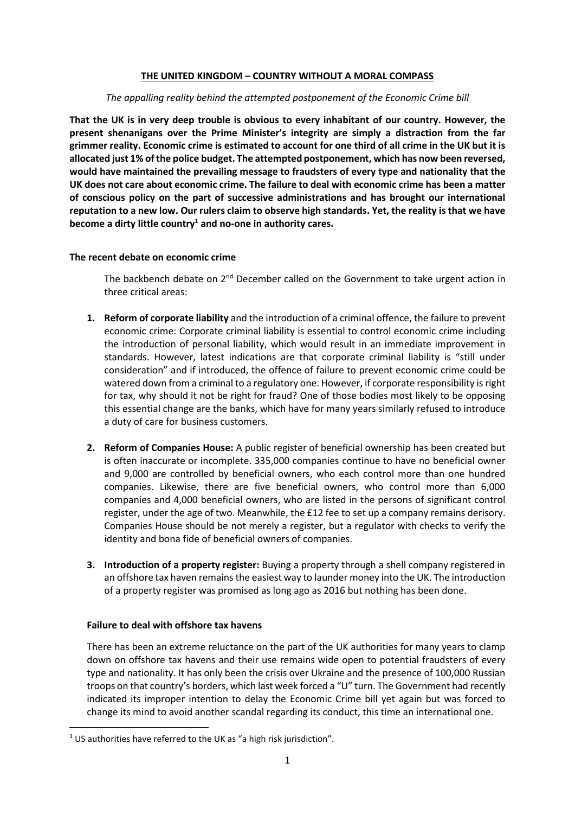### **THE UNITED KINGDOM – COUNTRY WITHOUT A MORAL COMPASS**

### *The appalling reality behind the attempted postponement of the Economic Crime bill*

**That the UK is in very deep trouble is obvious to every inhabitant of our country. However, the present shenanigans over the Prime Minister's integrity are simply a distraction from the far grimmer reality. Economic crime is estimated to account for one third of all crime in the UK but it is allocated just 1% of the police budget. The attempted postponement, which has now been reversed, would have maintained the prevailing message to fraudsters of every type and nationality that the UK does not care about economic crime. The failure to deal with economic crime has been a matter of conscious policy on the part of successive administrations and has brought our international reputation to a new low. Our rulers claim to observe high standards. Yet, the reality is that we have become a dirty little country<sup>1</sup> and no-one in authority cares.**

### **The recent debate on economic crime**

The backbench debate on 2<sup>nd</sup> December called on the Government to take urgent action in three critical areas:

- **1. Reform of corporate liability** and the introduction of a criminal offence, the failure to prevent economic crime: Corporate criminal liability is essential to control economic crime including the introduction of personal liability, which would result in an immediate improvement in standards. However, latest indications are that corporate criminal liability is "still under consideration" and if introduced, the offence of failure to prevent economic crime could be watered down from a criminal to a regulatory one. However, if corporate responsibility is right for tax, why should it not be right for fraud? One of those bodies most likely to be opposing this essential change are the banks, which have for many years similarly refused to introduce a duty of care for business customers.
- **2. Reform of Companies House:** A public register of beneficial ownership has been created but is often inaccurate or incomplete. 335,000 companies continue to have no beneficial owner and 9,000 are controlled by beneficial owners, who each control more than one hundred companies. Likewise, there are five beneficial owners, who control more than 6,000 companies and 4,000 beneficial owners, who are listed in the persons of significant control register, under the age of two. Meanwhile, the £12 fee to set up a company remains derisory. Companies House should be not merely a register, but a regulator with checks to verify the identity and bona fide of beneficial owners of companies.
- **3. Introduction of a property register:** Buying a property through a shell company registered in an offshore tax haven remains the easiest way to launder money into the UK. The introduction of a property register was promised as long ago as 2016 but nothing has been done.

### **Failure to deal with offshore tax havens**

There has been an extreme reluctance on the part of the UK authorities for many years to clamp down on offshore tax havens and their use remains wide open to potential fraudsters of every type and nationality. It has only been the crisis over Ukraine and the presence of 100,000 Russian troops on that country's borders, which last week forced a "U" turn. The Government had recently indicated its improper intention to delay the Economic Crime bill yet again but was forced to change its mind to avoid another scandal regarding its conduct, this time an international one.

<sup>&</sup>lt;sup>1</sup> US authorities have referred to the UK as "a high risk jurisdiction".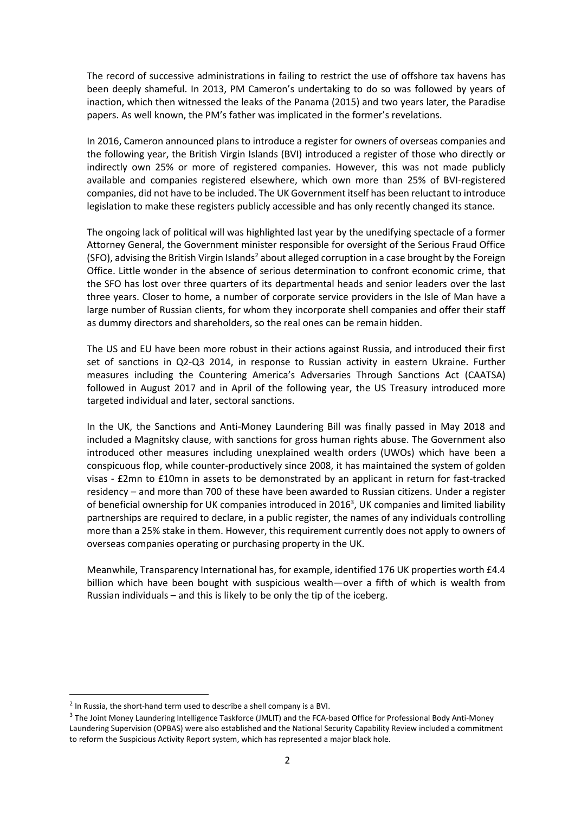The record of successive administrations in failing to restrict the use of offshore tax havens has been deeply shameful. In 2013, PM Cameron's undertaking to do so was followed by years of inaction, which then witnessed the leaks of the Panama (2015) and two years later, the Paradise papers. As well known, the PM's father was implicated in the former's revelations.

In 2016, Cameron announced plans to introduce a register for owners of overseas companies and the following year, the British Virgin Islands (BVI) introduced a register of those who directly or indirectly own 25% or more of registered companies. However, this was not made publicly available and companies registered elsewhere, which own more than 25% of BVI-registered companies, did not have to be included. The UK Government itself has been reluctant to introduce legislation to make these registers publicly accessible and has only recently changed its stance.

The ongoing lack of political will was highlighted last year by the unedifying spectacle of a former Attorney General, the Government minister responsible for oversight of the Serious Fraud Office (SFO), advising the British Virgin Islands<sup>2</sup> about alleged corruption in a case brought by the Foreign Office. Little wonder in the absence of serious determination to confront economic crime, that the SFO has lost over three quarters of its departmental heads and senior leaders over the last three years. Closer to home, a number of corporate service providers in the Isle of Man have a large number of Russian clients, for whom they incorporate shell companies and offer their staff as dummy directors and shareholders, so the real ones can be remain hidden.

The US and EU have been more robust in their actions against Russia, and introduced their first set of sanctions in Q2-Q3 2014, in response to Russian activity in eastern Ukraine. Further measures including the Countering America's Adversaries Through Sanctions Act (CAATSA) followed in August 2017 and in April of the following year, the US Treasury introduced more targeted individual and later, sectoral sanctions.

In the UK, the Sanctions and Anti-Money Laundering Bill was finally passed in May 2018 and included a Magnitsky clause, with sanctions for gross human rights abuse. The Government also introduced other measures including unexplained wealth orders (UWOs) which have been a conspicuous flop, while counter-productively since 2008, it has maintained the system of golden visas - £2mn to £10mn in assets to be demonstrated by an applicant in return for fast-tracked residency – and more than 700 of these have been awarded to Russian citizens. Under a register of beneficial ownership for UK companies introduced in 2016<sup>3</sup>, UK companies and limited liability partnerships are required to declare, in a public register, the names of any individuals controlling more than a 25% stake in them. However, this requirement currently does not apply to owners of overseas companies operating or purchasing property in the UK.

Meanwhile, Transparency International has, for example, identified 176 UK properties worth £4.4 billion which have been bought with suspicious wealth—over a fifth of which is wealth from Russian individuals – and this is likely to be only the tip of the iceberg.

<sup>&</sup>lt;sup>2</sup> In Russia, the short-hand term used to describe a shell company is a BVI.

<sup>&</sup>lt;sup>3</sup> The Joint Money Laundering Intelligence Taskforce (JMLIT) and the FCA-based Office for Professional Body Anti-Money Laundering Supervision (OPBAS) were also established and the National Security Capability Review included a commitment to reform the Suspicious Activity Report system, which has represented a major black hole.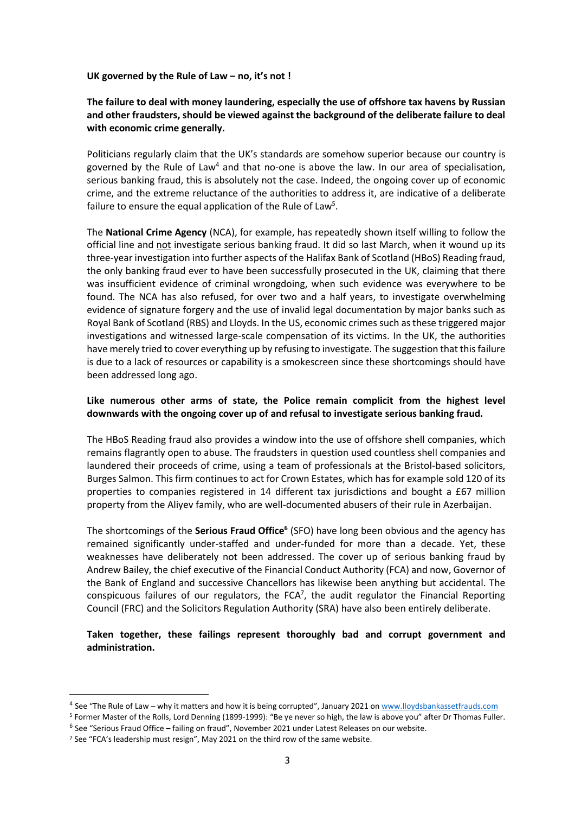**UK governed by the Rule of Law – no, it's not !**

# **The failure to deal with money laundering, especially the use of offshore tax havens by Russian and other fraudsters, should be viewed against the background of the deliberate failure to deal with economic crime generally.**

Politicians regularly claim that the UK's standards are somehow superior because our country is governed by the Rule of Law<sup>4</sup> and that no-one is above the law. In our area of specialisation, serious banking fraud, this is absolutely not the case. Indeed, the ongoing cover up of economic crime, and the extreme reluctance of the authorities to address it, are indicative of a deliberate failure to ensure the equal application of the Rule of Law<sup>5</sup>.

The **National Crime Agency** (NCA), for example, has repeatedly shown itself willing to follow the official line and not investigate serious banking fraud. It did so last March, when it wound up its three-year investigation into further aspects of the Halifax Bank of Scotland (HBoS) Reading fraud, the only banking fraud ever to have been successfully prosecuted in the UK, claiming that there was insufficient evidence of criminal wrongdoing, when such evidence was everywhere to be found. The NCA has also refused, for over two and a half years, to investigate overwhelming evidence of signature forgery and the use of invalid legal documentation by major banks such as Royal Bank of Scotland (RBS) and Lloyds. In the US, economic crimes such as these triggered major investigations and witnessed large-scale compensation of its victims. In the UK, the authorities have merely tried to cover everything up by refusing to investigate. The suggestion that this failure is due to a lack of resources or capability is a smokescreen since these shortcomings should have been addressed long ago.

## **Like numerous other arms of state, the Police remain complicit from the highest level downwards with the ongoing cover up of and refusal to investigate serious banking fraud.**

The HBoS Reading fraud also provides a window into the use of offshore shell companies, which remains flagrantly open to abuse. The fraudsters in question used countless shell companies and laundered their proceeds of crime, using a team of professionals at the Bristol-based solicitors, Burges Salmon. This firm continues to act for Crown Estates, which has for example sold 120 of its properties to companies registered in 14 different tax jurisdictions and bought a £67 million property from the Aliyev family, who are well-documented abusers of their rule in Azerbaijan.

The shortcomings of the **Serious Fraud Office<sup>6</sup>** (SFO) have long been obvious and the agency has remained significantly under-staffed and under-funded for more than a decade. Yet, these weaknesses have deliberately not been addressed. The cover up of serious banking fraud by Andrew Bailey, the chief executive of the Financial Conduct Authority (FCA) and now, Governor of the Bank of England and successive Chancellors has likewise been anything but accidental. The conspicuous failures of our regulators, the FCA $^7$ , the audit regulator the Financial Reporting Council (FRC) and the Solicitors Regulation Authority (SRA) have also been entirely deliberate.

## **Taken together, these failings represent thoroughly bad and corrupt government and administration.**

<sup>&</sup>lt;sup>4</sup> See "The Rule of Law – why it matters and how it is being corrupted", January 2021 o[n www.lloydsbankassetfrauds.com](http://www.lloydsbankassetfrauds.com/)

<sup>5</sup> Former Master of the Rolls, Lord Denning (1899-1999): "Be ye never so high, the law is above you" after Dr Thomas Fuller.

<sup>&</sup>lt;sup>6</sup> See "Serious Fraud Office – failing on fraud", November 2021 under Latest Releases on our website.

<sup>7</sup> See "FCA's leadership must resign", May 2021 on the third row of the same website.